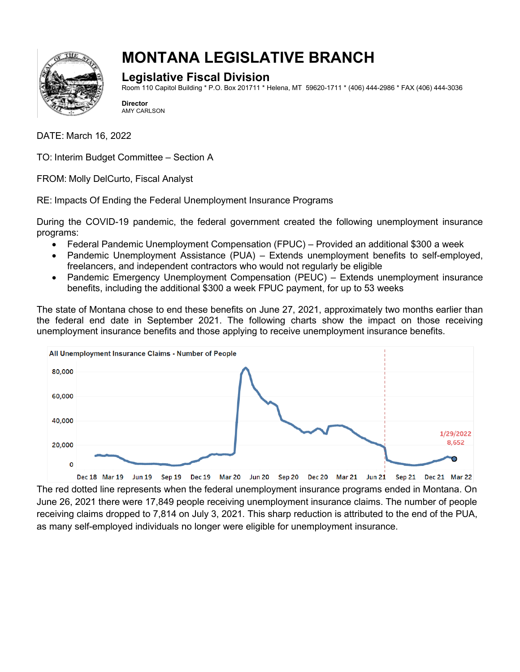

## **MONTANA LEGISLATIVE BRANCH**

## **Legislative Fiscal Division**

Room 110 Capitol Building \* P.O. Box 201711 \* Helena, MT 59620-1711 \* (406) 444-2986 \* FAX (406) 444-3036

**Director** AMY CARLSON

DATE: March 16, 2022

TO: Interim Budget Committee – Section A

FROM: Molly DelCurto, Fiscal Analyst

RE: Impacts Of Ending the Federal Unemployment Insurance Programs

During the COVID-19 pandemic, the federal government created the following unemployment insurance programs:

- Federal Pandemic Unemployment Compensation (FPUC) Provided an additional \$300 a week
- Pandemic Unemployment Assistance (PUA) Extends unemployment benefits to self-employed, freelancers, and independent contractors who would not regularly be eligible
- Pandemic Emergency Unemployment Compensation (PEUC) Extends unemployment insurance benefits, including the additional \$300 a week FPUC payment, for up to 53 weeks

The state of Montana chose to end these benefits on June 27, 2021, approximately two months earlier than the federal end date in September 2021. The following charts show the impact on those receiving unemployment insurance benefits and those applying to receive unemployment insurance benefits.



The red dotted line represents when the federal unemployment insurance programs ended in Montana. On June 26, 2021 there were 17,849 people receiving unemployment insurance claims. The number of people receiving claims dropped to 7,814 on July 3, 2021. This sharp reduction is attributed to the end of the PUA, as many self-employed individuals no longer were eligible for unemployment insurance.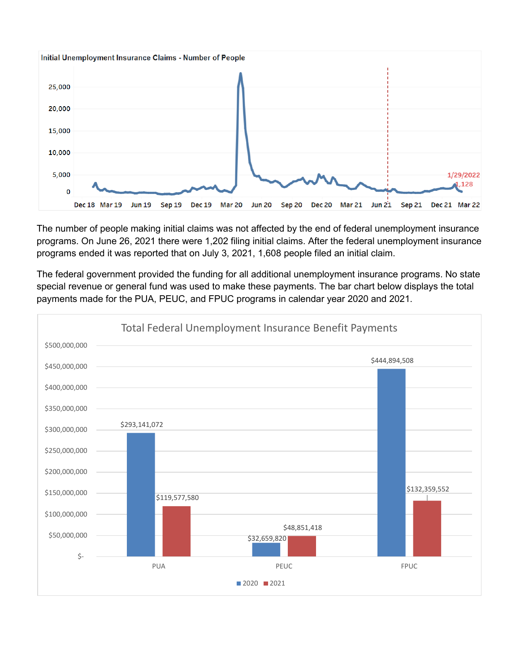

The number of people making initial claims was not affected by the end of federal unemployment insurance programs. On June 26, 2021 there were 1,202 filing initial claims. After the federal unemployment insurance programs ended it was reported that on July 3, 2021, 1,608 people filed an initial claim.

The federal government provided the funding for all additional unemployment insurance programs. No state special revenue or general fund was used to make these payments. The bar chart below displays the total payments made for the PUA, PEUC, and FPUC programs in calendar year 2020 and 2021.